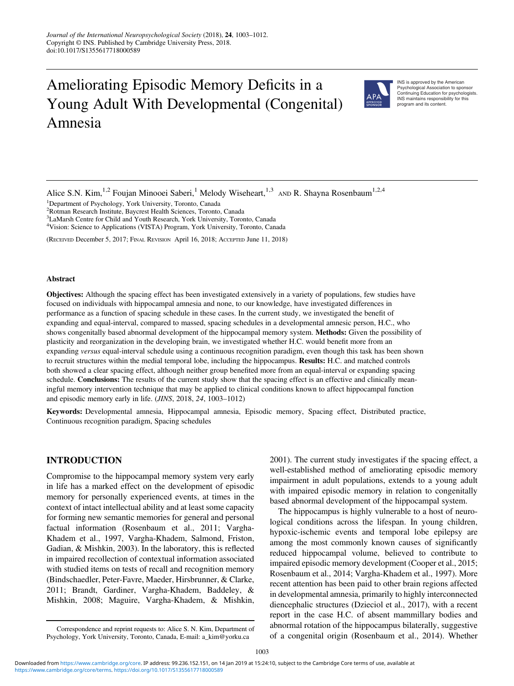# Ameliorating Episodic Memory Deficits in a Young Adult With Developmental (Congenital) Amnesia



INS is approved by the American Psychological Association to sponsor Continuing Education for psychologists. INS maintains responsibility for this program and its content.

Alice S.N. Kim,<sup>1,2</sup> Foujan Minooei Saberi,<sup>1</sup> Melody Wiseheart,<sup>1,3</sup> AND R. Shayna Rosenbaum<sup>1,2,4</sup>

<sup>1</sup>Department of Psychology, York University, Toronto, Canada

2 Rotman Research Institute, Baycrest Health Sciences, Toronto, Canada

3 LaMarsh Centre for Child and Youth Research, York University, Toronto, Canada

4 Vision: Science to Applications (VISTA) Program, York University, Toronto, Canada

(RECEIVED December 5, 2017; FINAL REVISION April 16, 2018; ACCEPTED June 11, 2018)

#### Abstract

Objectives: Although the spacing effect has been investigated extensively in a variety of populations, few studies have focused on individuals with hippocampal amnesia and none, to our knowledge, have investigated differences in performance as a function of spacing schedule in these cases. In the current study, we investigated the benefit of expanding and equal-interval, compared to massed, spacing schedules in a developmental amnesic person, H.C., who shows congenitally based abnormal development of the hippocampal memory system. Methods: Given the possibility of plasticity and reorganization in the developing brain, we investigated whether H.C. would benefit more from an expanding versus equal-interval schedule using a continuous recognition paradigm, even though this task has been shown to recruit structures within the medial temporal lobe, including the hippocampus. Results: H.C. and matched controls both showed a clear spacing effect, although neither group benefited more from an equal-interval or expanding spacing schedule. Conclusions: The results of the current study show that the spacing effect is an effective and clinically meaningful memory intervention technique that may be applied to clinical conditions known to affect hippocampal function and episodic memory early in life. (JINS, 2018, 24, 1003–1012)

Keywords: Developmental amnesia, Hippocampal amnesia, Episodic memory, Spacing effect, Distributed practice, Continuous recognition paradigm, Spacing schedules

# INTRODUCTION

Compromise to the hippocampal memory system very early in life has a marked effect on the development of episodic memory for personally experienced events, at times in the context of intact intellectual ability and at least some capacity for forming new semantic memories for general and personal factual information (Rosenbaum et al., [2011;](#page-9-0) Vargha-Khadem et al., [1997,](#page-9-0) Vargha-Khadem, Salmond, Friston, Gadian, & Mishkin, [2003](#page-9-0)). In the laboratory, this is reflected in impaired recollection of contextual information associated with studied items on tests of recall and recognition memory (Bindschaedler, Peter-Favre, Maeder, Hirsbrunner, & Clarke, [2011;](#page-7-0) Brandt, Gardiner, Vargha-Khadem, Baddeley, & Mishkin, [2008](#page-7-0); Maguire, Vargha-Khadem, & Mishkin,

[2001\)](#page-8-0). The current study investigates if the spacing effect, a well-established method of ameliorating episodic memory impairment in adult populations, extends to a young adult with impaired episodic memory in relation to congenitally based abnormal development of the hippocampal system.

The hippocampus is highly vulnerable to a host of neurological conditions across the lifespan. In young children, hypoxic-ischemic events and temporal lobe epilepsy are among the most commonly known causes of significantly reduced hippocampal volume, believed to contribute to impaired episodic memory development (Cooper et al., [2015](#page-7-0); Rosenbaum et al., [2014;](#page-9-0) Vargha-Khadem et al., [1997](#page-9-0)). More recent attention has been paid to other brain regions affected in developmental amnesia, primarily to highly interconnected diencephalic structures (Dzieciol et al., [2017\)](#page-8-0), with a recent report in the case H.C. of absent mammillary bodies and abnormal rotation of the hippocampus bilaterally, suggestive Correspondence and reprint requests to: Alice S. N. Kim, Department of a congenital origin (Rosenbaum et al., [2014\)](#page-9-0). Whether chology, York University, Toronto, Canada, E-mail: a kim@yorku.ca of a congenital origin (Rosenba

Psychology, York University, Toronto, Canada, E-mail: [a\\_kim@yorku.ca](mailto:a_kim@yorku.ca)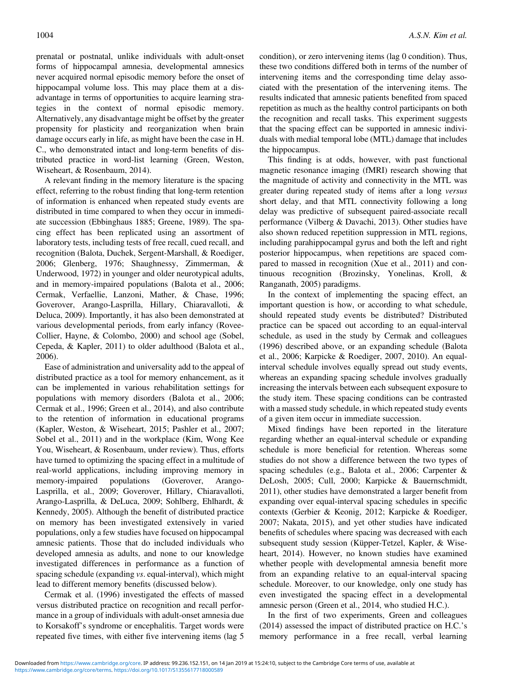prenatal or postnatal, unlike individuals with adult-onset forms of hippocampal amnesia, developmental amnesics never acquired normal episodic memory before the onset of hippocampal volume loss. This may place them at a disadvantage in terms of opportunities to acquire learning strategies in the context of normal episodic memory. Alternatively, any disadvantage might be offset by the greater propensity for plasticity and reorganization when brain damage occurs early in life, as might have been the case in H. C., who demonstrated intact and long-term benefits of distributed practice in word-list learning (Green, Weston, Wiseheart, & Rosenbaum, [2014](#page-8-0)).

A relevant finding in the memory literature is the spacing effect, referring to the robust finding that long-term retention of information is enhanced when repeated study events are distributed in time compared to when they occur in immediate succession (Ebbinghaus [1885](#page-8-0); Greene, [1989](#page-8-0)). The spacing effect has been replicated using an assortment of laboratory tests, including tests of free recall, cued recall, and recognition (Balota, Duchek, Sergent-Marshall, & Roediger, [2006;](#page-7-0) Glenberg, [1976;](#page-8-0) Shaughnessy, Zimmerman, & Underwood, [1972\)](#page-9-0) in younger and older neurotypical adults, and in memory-impaired populations (Balota et al., [2006](#page-7-0); Cermak, Verfaellie, Lanzoni, Mather, & Chase, [1996](#page-7-0); Goverover, Arango-Lasprilla, Hillary, Chiaravalloti, & Deluca, [2009\)](#page-8-0). Importantly, it has also been demonstrated at various developmental periods, from early infancy (Rovee-Collier, Hayne, & Colombo, [2000\)](#page-9-0) and school age (Sobel, Cepeda, & Kapler, [2011\)](#page-9-0) to older adulthood (Balota et al., [2006\)](#page-7-0).

Ease of administration and universality add to the appeal of distributed practice as a tool for memory enhancement, as it can be implemented in various rehabilitation settings for populations with memory disorders (Balota et al., [2006](#page-7-0); Cermak et al., [1996;](#page-7-0) Green et al., [2014\)](#page-8-0), and also contribute to the retention of information in educational programs (Kapler, Weston, & Wiseheart, [2015;](#page-8-0) Pashler et al., [2007](#page-9-0); Sobel et al., [2011](#page-9-0)) and in the workplace (Kim, Wong Kee You, Wiseheart, & Rosenbaum, under review). Thus, efforts have turned to optimizing the spacing effect in a multitude of real-world applications, including improving memory in memory-impaired populations (Goverover, Arango-Lasprilla, et al., [2009](#page-8-0); Goverover, Hillary, Chiaravalloti, Arango-Lasprilla, & DeLuca, [2009](#page-8-0); Sohlberg, Ehlhardt, & Kennedy, [2005\)](#page-9-0). Although the benefit of distributed practice on memory has been investigated extensively in varied populations, only a few studies have focused on hippocampal amnesic patients. Those that do included individuals who developed amnesia as adults, and none to our knowledge investigated differences in performance as a function of spacing schedule (expanding vs. equal-interval), which might lead to different memory benefits (discussed below).

Cermak et al. [\(1996](#page-7-0)) investigated the effects of massed versus distributed practice on recognition and recall performance in a group of individuals with adult-onset amnesia due to Korsakoff's syndrome or encephalitis. Target words were repeated five times, with either five intervening items (lag 5

condition), or zero intervening items (lag 0 condition). Thus, these two conditions differed both in terms of the number of intervening items and the corresponding time delay associated with the presentation of the intervening items. The results indicated that amnesic patients benefited from spaced repetition as much as the healthy control participants on both the recognition and recall tasks. This experiment suggests that the spacing effect can be supported in amnesic individuals with medial temporal lobe (MTL) damage that includes the hippocampus.

This finding is at odds, however, with past functional magnetic resonance imaging (fMRI) research showing that the magnitude of activity and connectivity in the MTL was greater during repeated study of items after a long versus short delay, and that MTL connectivity following a long delay was predictive of subsequent paired-associate recall performance (Vilberg & Davachi, [2013](#page-9-0)). Other studies have also shown reduced repetition suppression in MTL regions, including parahippocampal gyrus and both the left and right posterior hippocampus, when repetitions are spaced compared to massed in recognition (Xue et al., [2011\)](#page-9-0) and continuous recognition (Brozinsky, Yonelinas, Kroll, & Ranganath, [2005](#page-7-0)) paradigms.

In the context of implementing the spacing effect, an important question is how, or according to what schedule, should repeated study events be distributed? Distributed practice can be spaced out according to an equal-interval schedule, as used in the study by Cermak and colleagues [\(1996\)](#page-7-0) described above, or an expanding schedule (Balota et al., [2006;](#page-7-0) Karpicke & Roediger, [2007, 2010\)](#page-8-0). An equalinterval schedule involves equally spread out study events, whereas an expanding spacing schedule involves gradually increasing the intervals between each subsequent exposure to the study item. These spacing conditions can be contrasted with a massed study schedule, in which repeated study events of a given item occur in immediate succession.

Mixed findings have been reported in the literature regarding whether an equal-interval schedule or expanding schedule is more beneficial for retention. Whereas some studies do not show a difference between the two types of spacing schedules (e.g., Balota et al., [2006](#page-7-0); Carpenter & DeLosh, [2005;](#page-7-0) Cull, [2000](#page-7-0); Karpicke & Bauernschmidt, [2011\)](#page-8-0), other studies have demonstrated a larger benefit from expanding over equal-interval spacing schedules in specific contexts (Gerbier & Keonig, [2012](#page-8-0); Karpicke & Roediger, [2007;](#page-8-0) Nakata, [2015](#page-8-0)), and yet other studies have indicated benefits of schedules where spacing was decreased with each subsequent study session (Küpper-Tetzel, Kapler, & Wiseheart, [2014\)](#page-8-0). However, no known studies have examined whether people with developmental amnesia benefit more from an expanding relative to an equal-interval spacing schedule. Moreover, to our knowledge, only one study has even investigated the spacing effect in a developmental amnesic person (Green et al., [2014,](#page-8-0) who studied H.C.).

In the first of two experiments, Green and colleagues [\(2014\)](#page-8-0) assessed the impact of distributed practice on H.C.'s memory performance in a free recall, verbal learning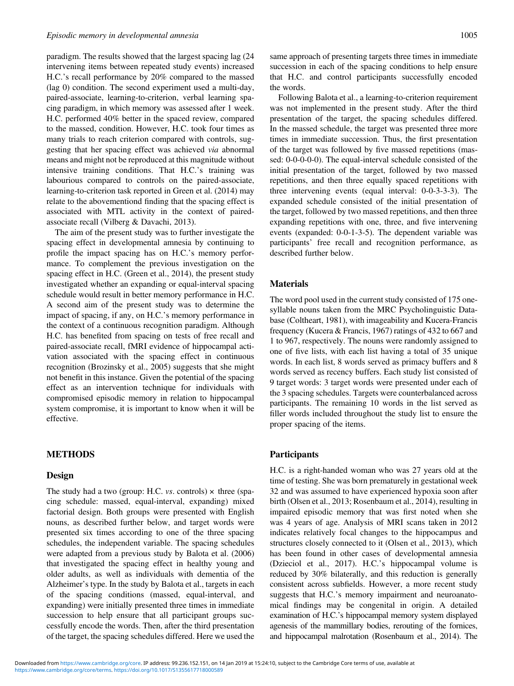paradigm. The results showed that the largest spacing lag (24 intervening items between repeated study events) increased H.C.'s recall performance by 20% compared to the massed (lag 0) condition. The second experiment used a multi-day, paired-associate, learning-to-criterion, verbal learning spacing paradigm, in which memory was assessed after 1 week. H.C. performed 40% better in the spaced review, compared to the massed, condition. However, H.C. took four times as many trials to reach criterion compared with controls, suggesting that her spacing effect was achieved via abnormal means and might not be reproduced at this magnitude without intensive training conditions. That H.C.'s training was labourious compared to controls on the paired-associate, learning-to-criterion task reported in Green et al. [\(2014](#page-8-0)) may relate to the abovementiond finding that the spacing effect is associated with MTL activity in the context of pairedassociate recall (Vilberg & Davachi, [2013](#page-9-0)).

The aim of the present study was to further investigate the spacing effect in developmental amnesia by continuing to profile the impact spacing has on H.C.'s memory performance. To complement the previous investigation on the spacing effect in H.C. (Green et al., [2014](#page-8-0)), the present study investigated whether an expanding or equal-interval spacing schedule would result in better memory performance in H.C. A second aim of the present study was to determine the impact of spacing, if any, on H.C.'s memory performance in the context of a continuous recognition paradigm. Although H.C. has benefited from spacing on tests of free recall and paired-associate recall, fMRI evidence of hippocampal activation associated with the spacing effect in continuous recognition (Brozinsky et al., [2005\)](#page-7-0) suggests that she might not benefit in this instance. Given the potential of the spacing effect as an intervention technique for individuals with compromised episodic memory in relation to hippocampal system compromise, it is important to know when it will be effective.

## METHODS

## Design

The study had a two (group: H.C. *vs.* controls)  $\times$  three (spacing schedule: massed, equal-interval, expanding) mixed factorial design. Both groups were presented with English nouns, as described further below, and target words were presented six times according to one of the three spacing schedules, the independent variable. The spacing schedules were adapted from a previous study by Balota et al. ([2006\)](#page-7-0) that investigated the spacing effect in healthy young and older adults, as well as individuals with dementia of the Alzheimer's type. In the study by Balota et al., targets in each of the spacing conditions (massed, equal-interval, and expanding) were initially presented three times in immediate succession to help ensure that all participant groups successfully encode the words. Then, after the third presentation of the target, the spacing schedules differed. Here we used the

same approach of presenting targets three times in immediate succession in each of the spacing conditions to help ensure that H.C. and control participants successfully encoded the words.

Following Balota et al., a learning-to-criterion requirement was not implemented in the present study. After the third presentation of the target, the spacing schedules differed. In the massed schedule, the target was presented three more times in immediate succession. Thus, the first presentation of the target was followed by five massed repetitions (massed: 0-0-0-0-0). The equal-interval schedule consisted of the initial presentation of the target, followed by two massed repetitions, and then three equally spaced repetitions with three intervening events (equal interval: 0-0-3-3-3). The expanded schedule consisted of the initial presentation of the target, followed by two massed repetitions, and then three expanding repetitions with one, three, and five intervening events (expanded: 0-0-1-3-5). The dependent variable was participants' free recall and recognition performance, as described further below.

## Materials

The word pool used in the current study consisted of 175 onesyllable nouns taken from the MRC Psycholinguistic Database (Coltheart, [1981\)](#page-7-0), with imageability and Kucera-Francis frequency (Kucera & Francis, [1967](#page-8-0)) ratings of 432 to 667 and 1 to 967, respectively. The nouns were randomly assigned to one of five lists, with each list having a total of 35 unique words. In each list, 8 words served as primacy buffers and 8 words served as recency buffers. Each study list consisted of 9 target words: 3 target words were presented under each of the 3 spacing schedules. Targets were counterbalanced across participants. The remaining 10 words in the list served as filler words included throughout the study list to ensure the proper spacing of the items.

## Participants

H.C. is a right-handed woman who was 27 years old at the time of testing. She was born prematurely in gestational week 32 and was assumed to have experienced hypoxia soon after birth (Olsen et al., [2013;](#page-8-0) Rosenbaum et al., [2014](#page-9-0)), resulting in impaired episodic memory that was first noted when she was 4 years of age. Analysis of MRI scans taken in 2012 indicates relatively focal changes to the hippocampus and structures closely connected to it (Olsen et al., [2013](#page-8-0)), which has been found in other cases of developmental amnesia (Dzieciol et al., [2017\)](#page-8-0). H.C.'s hippocampal volume is reduced by 30% bilaterally, and this reduction is generally consistent across subfields. However, a more recent study suggests that H.C.'s memory impairment and neuroanatomical findings may be congenital in origin. A detailed examination of H.C.'s hippocampal memory system displayed agenesis of the mammillary bodies, rerouting of the fornices, and hippocampal malrotation (Rosenbaum et al., [2014\)](#page-9-0). The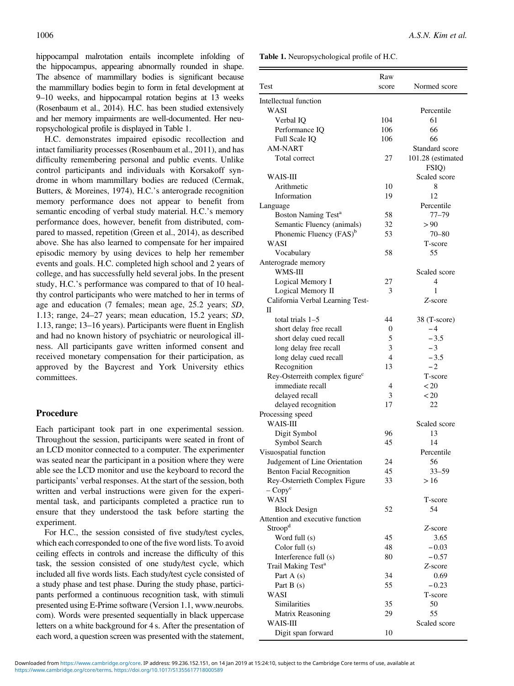hippocampal malrotation entails incomplete infolding of the hippocampus, appearing abnormally rounded in shape. The absence of mammillary bodies is significant because the mammillary bodies begin to form in fetal development at 9–10 weeks, and hippocampal rotation begins at 13 weeks (Rosenbaum et al., [2014\)](#page-9-0). H.C. has been studied extensively and her memory impairments are well-documented. Her neuropsychological profile is displayed in Table 1.

H.C. demonstrates impaired episodic recollection and intact familiarity processes (Rosenbaum et al., [2011\)](#page-9-0), and has difficulty remembering personal and public events. Unlike control participants and individuals with Korsakoff syndrome in whom mammillary bodies are reduced (Cermak, Butters, & Moreines, [1974](#page-7-0)), H.C.'s anterograde recognition memory performance does not appear to benefit from semantic encoding of verbal study material. H.C.'s memory performance does, however, benefit from distributed, compared to massed, repetition (Green et al., [2014](#page-8-0)), as described above. She has also learned to compensate for her impaired episodic memory by using devices to help her remember events and goals. H.C. completed high school and 2 years of college, and has successfully held several jobs. In the present study, H.C.'s performance was compared to that of 10 healthy control participants who were matched to her in terms of age and education (7 females; mean age, 25.2 years; SD, 1.13; range, 24–27 years; mean education, 15.2 years; SD, 1.13, range; 13–16 years). Participants were fluent in English and had no known history of psychiatric or neurological illness. All participants gave written informed consent and received monetary compensation for their participation, as approved by the Baycrest and York University ethics committees.

## Procedure

Each participant took part in one experimental session. Throughout the session, participants were seated in front of an LCD monitor connected to a computer. The experimenter was seated near the participant in a position where they were able see the LCD monitor and use the keyboard to record the participants' verbal responses. At the start of the session, both written and verbal instructions were given for the experimental task, and participants completed a practice run to ensure that they understood the task before starting the experiment.

For H.C., the session consisted of five study/test cycles, which each corresponded to one of the five word lists. To avoid ceiling effects in controls and increase the difficulty of this task, the session consisted of one study/test cycle, which included all five words lists. Each study/test cycle consisted of a study phase and test phase. During the study phase, participants performed a continuous recognition task, with stimuli presented using E-Prime software (Version 1.1, www.neurobs. com). Words were presented sequentially in black uppercase letters on a white background for 4 s. After the presentation of each word, a question screen was presented with the statement,

Table 1. Neuropsychological profile of H.C.

|                                            | Raw   |                   |
|--------------------------------------------|-------|-------------------|
| Test                                       | score | Normed score      |
| Intellectual function                      |       |                   |
| WASI                                       |       | Percentile        |
| Verbal IQ                                  | 104   | 61                |
| Performance IQ                             | 106   | 66                |
| Full Scale IQ                              | 106   | 66                |
| AM-NART                                    |       | Standard score    |
| Total correct                              | 27    | 101.28 (estimated |
|                                            |       | FSIQ)             |
| WAIS-III                                   |       | Scaled score      |
| Arithmetic                                 | 10    | 8                 |
| Information                                | 19    | 12                |
| Language                                   |       | Percentile        |
| Boston Naming Test <sup>a</sup>            | 58    | $77 - 79$         |
| Semantic Fluency (animals)                 | 32    | > 90              |
| Phonemic Fluency (FAS) <sup>b</sup>        | 53    | $70 - 80$         |
| WASI                                       |       | T-score           |
| Vocabulary                                 | 58    | 55                |
| Anterograde memory                         |       |                   |
| WMS-III                                    |       | Scaled score      |
| Logical Memory I                           | 27    | 4                 |
| Logical Memory II                          | 3     | 1                 |
| California Verbal Learning Test-           |       | Z-score           |
| П                                          |       |                   |
| total trials 1–5                           | 44    | 38 (T-score)      |
| short delay free recall                    | 0     | $-4$              |
| short delay cued recall                    | 5     | $-3.5$            |
| long delay free recall                     | 3     | $-3$              |
| long delay cued recall                     | 4     | $-3.5$            |
| Recognition                                | 13    | $-2$              |
| Rey-Osterreith complex figure <sup>c</sup> |       | T-score           |
| immediate recall                           | 4     | < 20              |
| delayed recall                             | 3     | < 20              |
| delayed recognition                        | 17    | 22                |
| Processing speed                           |       |                   |
| WAIS-III                                   |       | Scaled score      |
| Digit Symbol                               | 96    | 13                |
| Symbol Search                              | 45    | 14                |
| Visuospatial function                      |       | Percentile        |
| Judgement of Line Orientation              | 24    | 56                |
| <b>Benton Facial Recognition</b>           | 45    | $33 - 59$         |
| Rey-Osterrieth Complex Figure              | 33    | >16               |
| $-Copyc$                                   |       |                   |
| WASI                                       |       | T-score           |
| <b>Block Design</b>                        | 52    | 54                |
| Attention and executive function           |       |                   |
| Stroop <sup>d</sup>                        |       | Z-score           |
| Word full (s)                              | 45    | 3.65              |
| Color full (s)                             | 48    | $-0.03$           |
| Interference full (s)                      | 80    | $-0.57$           |
| Trail Making Test <sup>a</sup>             |       | Z-score           |
| Part $A(s)$                                | 34    | 0.69              |
| Part $B(s)$                                | 55    | $-0.23$           |
| WASI                                       |       | T-score           |
| Similarities                               | 35    | 50                |
| Matrix Reasoning                           | 29    | 55                |
| WAIS-III                                   |       | Scaled score      |
| Digit span forward                         | 10    |                   |
|                                            |       |                   |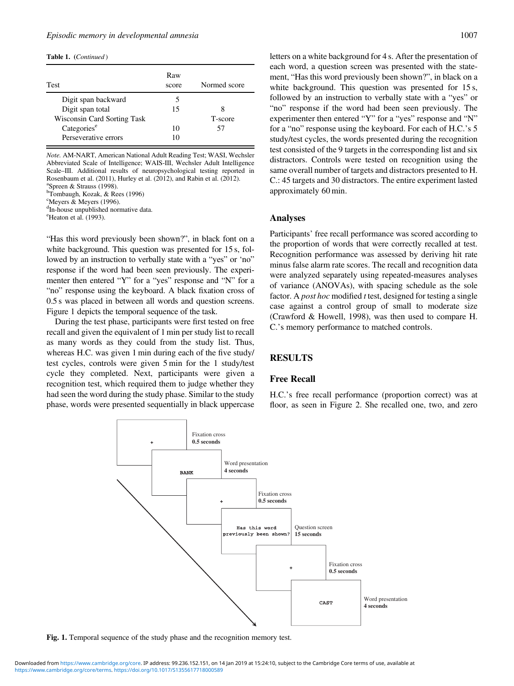#### Table 1. (Continued)

| <b>Test</b>                 | Raw<br>score | Normed score |
|-----------------------------|--------------|--------------|
| Digit span backward         | 5            |              |
| Digit span total            | 15           | 8            |
| Wisconsin Card Sorting Task |              | T-score      |
| Categories <sup>e</sup>     | 10           | 57           |
| Perseverative errors        |              |              |

Note. AM-NART, American National Adult Reading Test; WASI, Wechsler Abbreviated Scale of Intelligence; WAIS-III, Wechsler Adult Intelligence Scale–III. Additional results of neuropsychological testing reported in Rosenbaum et al. [\(2011](#page-9-0)), Hurley et al. (2012), and Rabin et al. (2012). a Spreen & Strauss (1998).

b Tombaugh, Kozak, & Rees (1996)

c Meyers & Meyers (1996).

<sup>d</sup>In-house unpublished normative data.

"Has this word previously been shown?", in black font on a white background. This question was presented for 15 s, followed by an instruction to verbally state with a "yes" or 'no" response if the word had been seen previously. The experimenter then entered "Y" for a "yes" response and "N" for a "no" response using the keyboard. A black fixation cross of 0.5 s was placed in between all words and question screens. Figure 1 depicts the temporal sequence of the task.

During the test phase, participants were first tested on free recall and given the equivalent of 1 min per study list to recall as many words as they could from the study list. Thus, whereas H.C. was given 1 min during each of the five study/ test cycles, controls were given 5 min for the 1 study/test cycle they completed. Next, participants were given a recognition test, which required them to judge whether they had seen the word during the study phase. Similar to the study phase, words were presented sequentially in black uppercase

letters on a white background for 4 s. After the presentation of each word, a question screen was presented with the statement, "Has this word previously been shown?", in black on a white background. This question was presented for 15 s, followed by an instruction to verbally state with a "yes" or "no" response if the word had been seen previously. The experimenter then entered "Y" for a "yes" response and "N" for a "no" response using the keyboard. For each of H.C.'s 5 study/test cycles, the words presented during the recognition test consisted of the 9 targets in the corresponding list and six distractors. Controls were tested on recognition using the same overall number of targets and distractors presented to H. C.: 45 targets and 30 distractors. The entire experiment lasted approximately 60 min.

## Analyses

Participants' free recall performance was scored according to the proportion of words that were correctly recalled at test. Recognition performance was assessed by deriving hit rate minus false alarm rate scores. The recall and recognition data were analyzed separately using repeated-measures analyses of variance (ANOVAs), with spacing schedule as the sole factor. A *post hoc* modified *t* test, designed for testing a single case against a control group of small to moderate size (Crawford & Howell, [1998\)](#page-7-0), was then used to compare H. C.'s memory performance to matched controls.

# RESULTS

## Free Recall

H.C.'s free recall performance (proportion correct) was at floor, as seen in [Figure 2.](#page-5-0) She recalled one, two, and zero



Fig. 1. Temporal sequence of the study phase and the recognition memory test.

 $^{\circ}$ Heaton et al. (1993).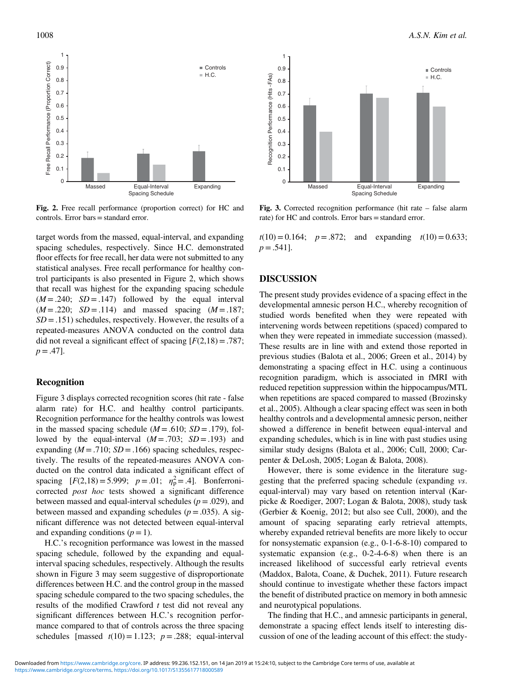<span id="page-5-0"></span>



Fig. 2. Free recall performance (proportion correct) for HC and controls. Error bars= standard error.

target words from the massed, equal-interval, and expanding spacing schedules, respectively. Since H.C. demonstrated floor effects for free recall, her data were not submitted to any statistical analyses. Free recall performance for healthy control participants is also presented in Figure 2, which shows that recall was highest for the expanding spacing schedule  $(M = .240; SD = .147)$  followed by the equal interval  $(M = .220; SD = .114)$  and massed spacing  $(M = .187;$  $SD = .151$ ) schedules, respectively. However, the results of a repeated-measures ANOVA conducted on the control data did not reveal a significant effect of spacing  $[F(2,18) = .787;$  $p = .47$ ].

## Recognition

Figure 3 displays corrected recognition scores (hit rate - false alarm rate) for H.C. and healthy control participants. Recognition performance for the healthy controls was lowest in the massed spacing schedule  $(M = .610; SD = .179)$ , followed by the equal-interval  $(M = .703; SD = .193)$  and expanding ( $M = .710$ ;  $SD = .166$ ) spacing schedules, respectively. The results of the repeated-measures ANOVA conducted on the control data indicated a significant effect of spacing  $[F(2,18) = 5.999; p = .01; \eta_p^2 = .4]$ . Bonferronicorrected post hoc tests showed a significant difference between massed and equal-interval schedules ( $p = .029$ ), and between massed and expanding schedules ( $p = .035$ ). A significant difference was not detected between equal-interval and expanding conditions  $(p = 1)$ .

H.C.'s recognition performance was lowest in the massed spacing schedule, followed by the expanding and equalinterval spacing schedules, respectively. Although the results shown in Figure 3 may seem suggestive of disproportionate differences between H.C. and the control group in the massed spacing schedule compared to the two spacing schedules, the results of the modified Crawford  $t$  test did not reveal any significant differences between H.C.'s recognition performance compared to that of controls across the three spacing schedules [massed  $t(10) = 1.123$ ;  $p = .288$ ; equal-interval



Fig. 3. Corrected recognition performance (hit rate – false alarm rate) for HC and controls. Error bars= standard error.

 $t(10) = 0.164$ ;  $p = .872$ ; and expanding  $t(10) = 0.633$ ;  $p = .541$ .

# DISCUSSION

The present study provides evidence of a spacing effect in the developmental amnesic person H.C., whereby recognition of studied words benefited when they were repeated with intervening words between repetitions (spaced) compared to when they were repeated in immediate succession (massed). These results are in line with and extend those reported in previous studies (Balota et al., [2006](#page-7-0); Green et al., [2014\)](#page-8-0) by demonstrating a spacing effect in H.C. using a continuous recognition paradigm, which is associated in fMRI with reduced repetition suppression within the hippocampus/MTL when repetitions are spaced compared to massed (Brozinsky et al., [2005](#page-7-0)). Although a clear spacing effect was seen in both healthy controls and a developmental amnesic person, neither showed a difference in benefit between equal-interval and expanding schedules, which is in line with past studies using similar study designs (Balota et al., [2006](#page-7-0); Cull, [2000](#page-7-0); Carpenter & DeLosh, [2005](#page-7-0); Logan & Balota, [2008\)](#page-8-0).

However, there is some evidence in the literature suggesting that the preferred spacing schedule (expanding vs. equal-interval) may vary based on retention interval (Karpicke & Roediger, [2007](#page-8-0); Logan & Balota, [2008](#page-8-0)), study task (Gerbier & Koenig, [2012](#page-8-0); but also see Cull, [2000](#page-7-0)), and the amount of spacing separating early retrieval attempts, whereby expanded retrieval benefits are more likely to occur for nonsystematic expansion (e.g., 0-1-6-8-10) compared to systematic expansion (e.g., 0-2-4-6-8) when there is an increased likelihood of successful early retrieval events (Maddox, Balota, Coane, & Duchek, [2011](#page-8-0)). Future research should continue to investigate whether these factors impact the benefit of distributed practice on memory in both amnesic and neurotypical populations.

The finding that H.C., and amnesic participants in general, demonstrate a spacing effect lends itself to interesting discussion of one of the leading account of this effect: the study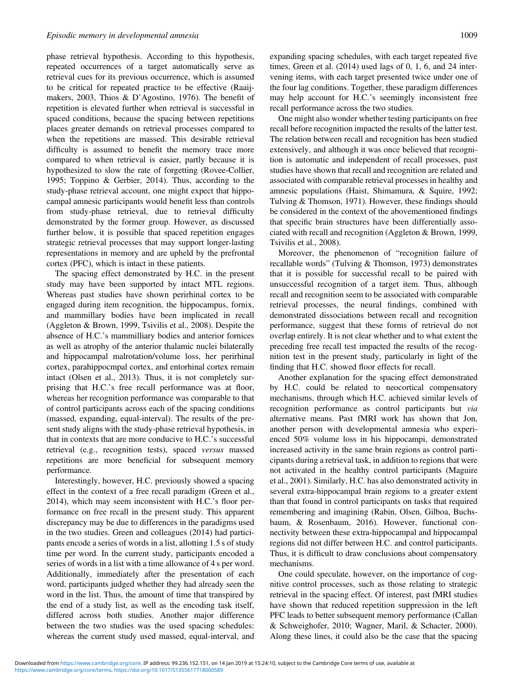phase retrieval hypothesis. According to this hypothesis, repeated occurrences of a target automatically serve as retrieval cues for its previous occurrence, which is assumed to be critical for repeated practice to be effective (Raaijmakers, [2003,](#page-9-0) Thios & D'Agostino, [1976](#page-9-0)). The benefit of repetition is elevated further when retrieval is successful in spaced conditions, because the spacing between repetitions places greater demands on retrieval processes compared to when the repetitions are massed. This desirable retrieval difficulty is assumed to benefit the memory trace more compared to when retrieval is easier, partly because it is hypothesized to slow the rate of forgetting (Rovee-Collier, [1995;](#page-9-0) Toppino & Gerbier, [2014\)](#page-9-0). Thus, according to the study-phase retrieval account, one might expect that hippocampal amnesic participants would benefit less than controls from study-phase retrieval, due to retrieval difficulty demonstrated by the former group. However, as discussed further below, it is possible that spaced repetition engages strategic retrieval processes that may support longer-lasting representations in memory and are upheld by the prefrontal cortex (PFC), which is intact in these patients.

The spacing effect demonstrated by H.C. in the present study may have been supported by intact MTL regions. Whereas past studies have shown perirhinal cortex to be engaged during item recognition, the hippocampus, fornix, and mammillary bodies have been implicated in recall (Aggleton & Brown, [1999,](#page-7-0) Tsivilis et al., [2008\)](#page-9-0). Despite the absence of H.C.'s mammilliary bodies and anterior fornices as well as atrophy of the anterior thalamic nuclei bilaterally and hippocampal malrotation/volume loss, her perirhinal cortex, parahippocmpal cortex, and entorhinal cortex remain intact (Olsen et al., [2013](#page-8-0)). Thus, it is not completely surprising that H.C.'s free recall performance was at floor, whereas her recognition performance was comparable to that of control participants across each of the spacing conditions (massed, expanding, equal-interval). The results of the present study aligns with the study-phase retrieval hypothesis, in that in contexts that are more conducive to H.C.'s successful retrieval (e.g., recognition tests), spaced versus massed repetitions are more beneficial for subsequent memory performance.

Interestingly, however, H.C. previously showed a spacing effect in the context of a free recall paradigm (Green et al., [2014\)](#page-8-0), which may seem inconsistent with H.C.'s floor performance on free recall in the present study. This apparent discrepancy may be due to differences in the paradigms used in the two studies. Green and colleagues [\(2014](#page-8-0)) had participants encode a series of words in a list, allotting 1.5 s of study time per word. In the current study, participants encoded a series of words in a list with a time allowance of 4 s per word. Additionally, immediately after the presentation of each word, participants judged whether they had already seen the word in the list. Thus, the amount of time that transpired by the end of a study list, as well as the encoding task itself, differed across both studies. Another major difference between the two studies was the used spacing schedules: whereas the current study used massed, equal-interval, and

expanding spacing schedules, with each target repeated five times, Green et al. ([2014\)](#page-8-0) used lags of 0, 1, 6, and 24 intervening items, with each target presented twice under one of the four lag conditions. Together, these paradigm differences may help account for H.C.'s seemingly inconsistent free recall performance across the two studies.

One might also wonder whether testing participants on free recall before recognition impacted the results of the latter test. The relation between recall and recognition has been studied extensively, and although it was once believed that recognition is automatic and independent of recall processes, past studies have shown that recall and recognition are related and associated with comparable retrieval processes in healthy and amnesic populations (Haist, Shimamura, & Squire, [1992](#page-8-0); Tulving & Thomson, [1971\)](#page-9-0). However, these findings should be considered in the context of the abovementioned findings that specific brain structures have been differentially associated with recall and recognition (Aggleton & Brown, [1999](#page-7-0), Tsivilis et al., [2008\)](#page-9-0).

Moreover, the phenomenon of "recognition failure of recallable words" (Tulving & Thomson, [1973](#page-9-0)) demonstrates that it is possible for successful recall to be paired with unsuccessful recognition of a target item. Thus, although recall and recognition seem to be associated with comparable retrieval processes, the neural findings, combined with demonstrated dissociations between recall and recognition performance, suggest that these forms of retrieval do not overlap entirely. It is not clear whether and to what extent the preceding free recall test impacted the results of the recognition test in the present study, particularly in light of the finding that H.C. showed floor effects for recall.

Another explanation for the spacing effect demonstrated by H.C. could be related to neocortical compensatory mechanisms, through which H.C. achieved similar levels of recognition performance as control participants but via alternative means. Past fMRI work has shown that Jon, another person with developmental amnesia who experienced 50% volume loss in his hippocampi, demonstrated increased activity in the same brain regions as control participants during a retrieval task, in addition to regions that were not activated in the healthy control participants (Maguire et al., [2001\)](#page-8-0). Similarly, H.C. has also demonstrated activity in several extra-hippocampal brain regions to a greater extent than that found in control participants on tasks that required remembering and imagining (Rabin, Olsen, Gilboa, Buchsbaum, & Rosenbaum, [2016\)](#page-9-0). However, functional connectivity between these extra-hippocampal and hippocampal regions did not differ between H.C. and control participants. Thus, it is difficult to draw conclusions about compensatory mechanisms.

One could speculate, however, on the importance of cognitive control processes, such as those relating to strategic retrieval in the spacing effect. Of interest, past fMRI studies have shown that reduced repetition suppression in the left PFC leads to better subsequent memory performance (Callan & Schweighofer, [2010;](#page-7-0) Wagner, Maril, & Schacter, [2000](#page-9-0)). Along these lines, it could also be the case that the spacing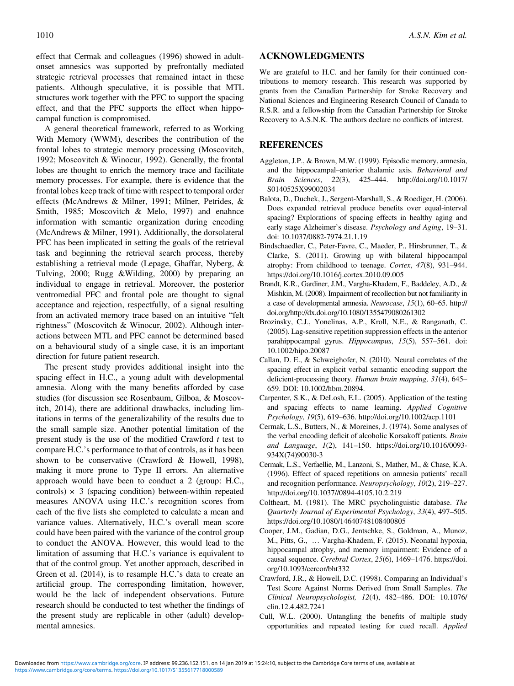<span id="page-7-0"></span>effect that Cermak and colleagues (1996) showed in adultonset amnesics was supported by prefrontally mediated strategic retrieval processes that remained intact in these patients. Although speculative, it is possible that MTL structures work together with the PFC to support the spacing effect, and that the PFC supports the effect when hippocampal function is compromised.

A general theoretical framework, referred to as Working With Memory (WWM), describes the contribution of the frontal lobes to strategic memory processing (Moscovitch, [1992;](#page-8-0) Moscovitch & Winocur, [1992\)](#page-8-0). Generally, the frontal lobes are thought to enrich the memory trace and facilitate memory processes. For example, there is evidence that the frontal lobes keep track of time with respect to temporal order effects (McAndrews & Milner, [1991;](#page-8-0) Milner, Petrides, & Smith, [1985](#page-8-0); Moscovitch & Melo, [1997\)](#page-8-0) and enahnce information with semantic organization during encoding (McAndrews & Milner, [1991](#page-8-0)). Additionally, the dorsolateral PFC has been implicated in setting the goals of the retrieval task and beginning the retrieval search process, thereby establishing a retrieval mode (Lepage, Ghaffar, Nyberg, & Tulving, [2000](#page-8-0); Rugg &Wilding, [2000\)](#page-9-0) by preparing an individual to engage in retrieval. Moreover, the posterior ventromedial PFC and frontal pole are thought to signal acceptance and rejection, respectfully, of a signal resulting from an activated memory trace based on an intuitive "felt rightness" (Moscovitch & Winocur, [2002\)](#page-8-0). Although interactions between MTL and PFC cannot be determined based on a behavioural study of a single case, it is an important direction for future patient research.

The present study provides additional insight into the spacing effect in H.C., a young adult with developmental amnesia. Along with the many benefits afforded by case studies (for discussion see Rosenbaum, Gilboa, & Moscovitch, [2014\)](#page-9-0), there are additional drawbacks, including limitations in terms of the generalizability of the results due to the small sample size. Another potential limitation of the present study is the use of the modified Crawford  $t$  test to compare H.C.'s performance to that of controls, as it has been shown to be conservative (Crawford & Howell, [1998](#page-8-0)), making it more prone to Type II errors. An alternative approach would have been to conduct a 2 (group: H.C., controls)  $\times$  3 (spacing condition) between-within repeated measures ANOVA using H.C.'s recognition scores from each of the five lists she completed to calculate a mean and variance values. Alternatively, H.C.'s overall mean score could have been paired with the variance of the control group to conduct the ANOVA. However, this would lead to the limitation of assuming that H.C.'s variance is equivalent to that of the control group. Yet another approach, described in Green et al. [\(2014](#page-8-0)), is to resample H.C.'s data to create an artificial group. The corresponding limitation, however, would be the lack of independent observations. Future research should be conducted to test whether the findings of the present study are replicable in other (adult) developmental amnesics.

# ACKNOWLEDGMENTS

We are grateful to H.C. and her family for their continued contributions to memory research. This research was supported by grants from the Canadian Partnership for Stroke Recovery and National Sciences and Engineering Research Council of Canada to R.S.R. and a fellowship from the Canadian Partnership for Stroke Recovery to A.S.N.K. The authors declare no conflicts of interest.

# **REFERENCES**

- Aggleton, J.P., & Brown, M.W. (1999). Episodic memory, amnesia, and the hippocampal–anterior thalamic axis. Behavioral and Brain Sciences, 22(3), 425–444. [http://doi.org/10.1017/](http://doi.org/10.1017/S0140525X99002034) [S0140525X99002034](http://doi.org/10.1017/S0140525X99002034)
- Balota, D., Duchek, J., Sergent-Marshall, S., & Roediger, H. (2006). Does expanded retrieval produce benefits over equal-interval spacing? Explorations of spacing effects in healthy aging and early stage Alzheimer's disease. Psychology and Aging, 19-31. doi: [10.1037/0882-7974.21.1.19](https://doi.org/10.1037�/�0882-7974.21.1.19)
- Bindschaedler, C., Peter-Favre, C., Maeder, P., Hirsbrunner, T., & Clarke, S. (2011). Growing up with bilateral hippocampal atrophy: From childhood to teenage. Cortex, 47(8), 931–944. <https://doi.org/10.1016/j.cortex.2010.09.005>
- Brandt, K.R., Gardiner, J.M., Vargha-Khadem, F., Baddeley, A.D., & Mishkin, M. (2008). Impairment of recollection but not familiarity in a case of developmental amnesia. Neurocase, 15(1), 60–65. [http://](http://doi.org/http://dx.doi.org/10.1080�/�1355479080261302) [doi.org/http://dx.doi.org/10.1080/1355479080261302](http://doi.org/http://dx.doi.org/10.1080�/�1355479080261302)
- Brozinsky, C.J., Yonelinas, A.P., Kroll, N.E., & Ranganath, C. (2005). Lag‐sensitive repetition suppression effects in the anterior parahippocampal gyrus. Hippocampus, 15(5), 557-561. doi: [10.1002/hipo.20087](https://doi.org/10.1002/hipo.20087)
- Callan, D. E., & Schweighofer, N. (2010). Neural correlates of the spacing effect in explicit verbal semantic encoding support the deficient-processing theory. Human brain mapping, 31(4), 645– 659. DOI: 10.1002/hbm.20894.
- Carpenter, S.K., & DeLosh, E.L. (2005). Application of the testing and spacing effects to name learning. Applied Cognitive Psychology, 19(5), 619–636.<http://doi.org/10.1002/acp.1101>
- Cermak, L.S., Butters, N., & Moreines, J. (1974). Some analyses of the verbal encoding deficit of alcoholic Korsakoff patients. Brain and Language, 1(2), 141–150. [https://doi.org/10.1016/0093-](https://doi.org/10.1016�/�0093-934X(74)90030-3) [934X\(74\)90030-3](https://doi.org/10.1016�/�0093-934X(74)90030-3)
- Cermak, L.S., Verfaellie, M., Lanzoni, S., Mather, M., & Chase, K.A. (1996). Effect of spaced repetitions on amnesia patients' recall and recognition performance. Neuropsychology, 10(2), 219–227. <http://doi.org/10.1037//0894-4105.10.2.219>
- Coltheart, M. (1981). The MRC psycholinguistic database. The Quarterly Journal of Experimental Psychology, 33(4), 497–505. [https://doi.org/10.1080/14640748108400805](https://doi.org/10.1080�/�14640748108400805)
- Cooper, J.M., Gadian, D.G., Jentschke, S., Goldman, A., Munoz, M., Pitts, G., … Vargha-Khadem, F. (2015). Neonatal hypoxia, hippocampal atrophy, and memory impairment: Evidence of a causal sequence. Cerebral Cortex, 25(6), 1469–1476. [https://doi.](https://doi.org/10.1093/cercor/bht332) [org/10.1093/cercor/bht332](https://doi.org/10.1093/cercor/bht332)
- Crawford, J.R., & Howell, D.C. (1998). Comparing an Individual's Test Score Against Norms Derived from Small Samples. The Clinical Neuropsychologist, 12(4), 482–486. DOI: 10.1076/ clin.12.4.482.7241
- Cull, W.L. (2000). Untangling the benefits of multiple study opportunities and repeated testing for cued recall. Applied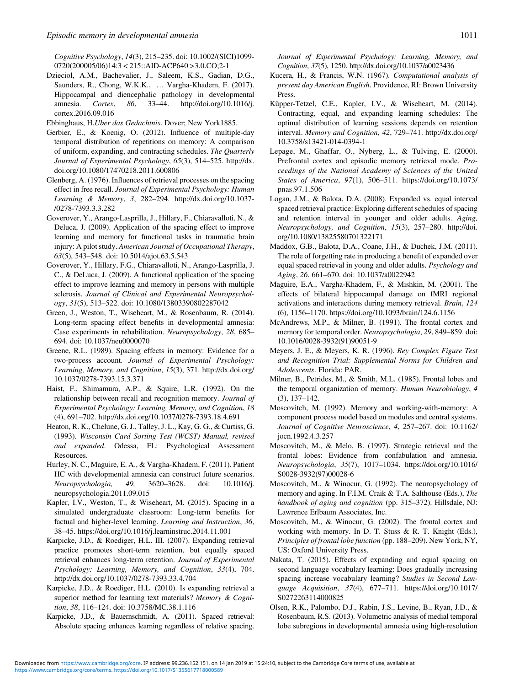<span id="page-8-0"></span>Cognitive Psychology, 14(3), 215–235. doi: [10.1002/\(SICI\)1099-](https://doi.org/10.1002/(SICI)1099-0720(200005�/�06)14:3�<�215::AID-ACP640�>3.0.CO;2-1) [0720\(200005/06\)14:3](https://doi.org/10.1002/(SICI)1099-0720(200005�/�06)14:3�<�215::AID-ACP640�>3.0.CO;2-1) <215::AID-ACP640 >3.0.CO;2-1

Dzieciol, A.M., Bachevalier, J., Saleem, K.S., Gadian, D.G., Saunders, R., Chong, W.K.K., … Vargha-Khadem, F. (2017). Hippocampal and diencephalic pathology in developmental amnesia. Cortex, 86, 33–44. [http://doi.org/10.1016/j.](http://doi.org/10.1016/j.cortex.2016.09.016) [cortex.2016.09.016](http://doi.org/10.1016/j.cortex.2016.09.016)

Ebbinghaus, H.Uber das Gedachtnis. Dover; New York1885.

- Gerbier, E., & Koenig, O. (2012). Influence of multiple-day temporal distribution of repetitions on memory: A comparison of uniform, expanding, and contracting schedules. The Quarterly Journal of Experimental Psychology, 65(3), 514–525. [http://dx.](http://dx.doi.org/10.1080�/�17470218.2011.600806) [doi.org/10.1080/17470218.2011.600806](http://dx.doi.org/10.1080�/�17470218.2011.600806)
- Glenberg, A. (1976). Influences of retrieval processes on the spacing effect in free recall. Journal of Experimental Psychology: Human Learning & Memory, 3, 282–294. [http://dx.doi.org/10.1037-](http://dx.doi.org/10.1037�/�0278-7393.3.3.282) [/0278-7393.3.3.282](http://dx.doi.org/10.1037�/�0278-7393.3.3.282)
- Goverover, Y., Arango-Lasprilla, J., Hillary, F., Chiaravalloti, N., & Deluca, J. (2009). Application of the spacing effect to improve learning and memory for functional tasks in traumatic brain injury: A pilot study. American Journal of Occupational Therapy, 63(5), 543–548. doi: [10.5014/ajot.63.5.543](https://doi.org/10.5014/ajot.63.5.543)
- Goverover, Y., Hillary, F.G., Chiaravalloti, N., Arango-Lasprilla, J. C., & DeLuca, J. (2009). A functional application of the spacing effect to improve learning and memory in persons with multiple sclerosis. Journal of Clinical and Experimental Neuropsychology, 31(5), 513–522. doi: [10.1080/13803390802287042](https://doi.org/10.1080�/�13803390802287042)
- Green, J., Weston, T., Wiseheart, M., & Rosenbaum, R. (2014). Long-term spacing effect benefits in developmental amnesia: Case experiments in rehabilitation. Neuropsychology, 28, 685– 694. doi: [10.1037/neu0000070](https://doi.org/10.1037/neu0000070)
- Greene, R.L. (1989). Spacing effects in memory: Evidence for a two-process account. Journal of Experimental Psychology: Learning, Memory, and Cognition, 15(3), 371. [http://dx.doi.org/](http://dx.doi.org/10.1037�/�0278-7393.15.3.371) [10.1037/0278-7393.15.3.371](http://dx.doi.org/10.1037�/�0278-7393.15.3.371)
- Haist, F., Shimamura, A.P., & Squire, L.R. (1992). On the relationship between recall and recognition memory. Journal of Experimental Psychology: Learning, Memory, and Cognition, 18 (4), 691–702. [http://dx.doi.org/10.1037/0278-7393.18.4.691](http://dx.doi.org/10.1037�/�0278-7393.18.4.691)
- Heaton, R. K., Chelune, G. J., Talley, J. L., Kay, G. G., & Curtiss, G. (1993). Wisconsin Card Sorting Test (WCST) Manual, revised and expanded. Odessa, FL: Psychological Assessment Resources.
- Hurley, N. C., Maguire, E. A., & Vargha-Khadem, F. (2011). Patient HC with developmental amnesia can construct future scenarios. Neuropsychologia, 49, 3620–3628. doi: 10.1016/j. neuropsychologia.2011.09.015
- Kapler, I.V., Weston, T., & Wiseheart, M. (2015). Spacing in a simulated undergraduate classroom: Long-term benefits for factual and higher-level learning. Learning and Instruction, 36, 38–45.<https://doi.org/10.1016/j.learninstruc.2014.11.001>
- Karpicke, J.D., & Roediger, H.L. III. (2007). Expanding retrieval practice promotes short-term retention, but equally spaced retrieval enhances long-term retention. Journal of Experimental Psychology: Learning, Memory, and Cognition, 33(4), 704. [http://dx.doi.org/10.1037/0278-7393.33.4.704](http://dx.doi.org/10.1037�/�0278-7393.33.4.704)
- Karpicke, J.D., & Roediger, H.L. (2010). Is expanding retrieval a superior method for learning text materials? Memory & Cognition, 38, 116–124. doi: [10.3758/MC.38.1.116](https://doi.org/10.3758/MC.38.1.116)
- Karpicke, J.D., & Bauernschmidt, A. (2011). Spaced retrieval: Absolute spacing enhances learning regardless of relative spacing.

Journal of Experimental Psychology: Learning, Memory, and Cognition, 37(5), 1250.<http://dx.doi.org/10.1037/a0023436>

- Kucera, H., & Francis, W.N. (1967). Computational analysis of present day American English. Providence, RI: Brown University Press.
- Küpper-Tetzel, C.E., Kapler, I.V., & Wiseheart, M. (2014). Contracting, equal, and expanding learning schedules: The optimal distribution of learning sessions depends on retention interval. Memory and Cognition, 42, 729–741. [http://dx.doi.org/](http://dx.doi.org/10.3758/s13421-014-0394-1) [10.3758/s13421-014-0394-1](http://dx.doi.org/10.3758/s13421-014-0394-1)
- Lepage, M., Ghaffar, O., Nyberg, L., & Tulving, E. (2000). Prefrontal cortex and episodic memory retrieval mode. Proceedings of the National Academy of Sciences of the United States of America, 97(1), 506–511. [https://doi.org/10.1073/](https://doi.org/10.1073/pnas.97.1.506) [pnas.97.1.506](https://doi.org/10.1073/pnas.97.1.506)
- Logan, J.M., & Balota, D.A. (2008). Expanded vs. equal interval spaced retrieval practice: Exploring different schedules of spacing and retention interval in younger and older adults. Aging, Neuropsychology, and Cognition, 15(3), 257–280. [http://doi.](http://doi.org/10.1080�/�13825580701322171) [org/10.1080/13825580701322171](http://doi.org/10.1080�/�13825580701322171)
- Maddox, G.B., Balota, D.A., Coane, J.H., & Duchek, J.M. (2011). The role of forgetting rate in producing a benefit of expanded over equal spaced retrieval in young and older adults. Psychology and Aging, 26, 661–670. doi: [10.1037/a0022942](https://doi.org/10.1037/a0022942)
- Maguire, E.A., Vargha-Khadem, F., & Mishkin, M. (2001). The effects of bilateral hippocampal damage on fMRI regional activations and interactions during memory retrieval. Brain, 124 (6), 1156–1170.<https://doi.org/10.1093/brain/124.6.1156>
- McAndrews, M.P., & Milner, B. (1991). The frontal cortex and memory for temporal order. Neuropsychologia, 29, 849-859. doi: [10.1016/0028-3932\(91\)90051-9](https://doi.org/10.1016�/�0028-3932(91)90051-9)
- Meyers, J. E., & Meyers, K. R. (1996). Rey Complex Figure Test and Recognition Trial: Supplemental Norms for Children and Adolescents. Florida: PAR.
- Milner, B., Petrides, M., & Smith, M.L. (1985). Frontal lobes and the temporal organization of memory. Human Neurobiology, 4 (3), 137–142.
- Moscovitch, M. (1992). Memory and working-with-memory: A component process model based on modules and central systems. Journal of Cognitive Neuroscience, 4, 257–267. doi: [10.1162/](https://doi.org/10.1162/jocn.1992.4.3.257) [jocn.1992.4.3.257](https://doi.org/10.1162/jocn.1992.4.3.257)
- Moscovitch, M., & Melo, B. (1997). Strategic retrieval and the frontal lobes: Evidence from confabulation and amnesia. Neuropsychologia, 35(7), 1017–1034. [https://doi.org/10.1016/](https://doi.org/10.1016/S0028-3932(97)00028-6) [S0028-3932\(97\)00028-6](https://doi.org/10.1016/S0028-3932(97)00028-6)
- Moscovitch, M., & Winocur, G. (1992). The neuropsychology of memory and aging. In F.I.M. Craik & T.A. Salthouse (Eds.), The handbook of aging and cognition (pp. 315–372). Hillsdale, NJ: Lawrence Erlbaum Associates, Inc.
- Moscovitch, M., & Winocur, G. (2002). The frontal cortex and working with memory. In D. T. Stuss & R. T. Knight (Eds.), Principles of frontal lobe function (pp. 188–209). New York, NY, US: Oxford University Press.
- Nakata, T. (2015). Effects of expanding and equal spacing on second language vocabulary learning: Does gradually increasing spacing increase vocabulary learning? Studies in Second Language Acquisition, 37(4), 677–711. [https://doi.org/10.1017/](https://doi.org/10.1017/S0272263114000825) [S0272263114000825](https://doi.org/10.1017/S0272263114000825)
- Olsen, R.K., Palombo, D.J., Rabin, J.S., Levine, B., Ryan, J.D., & Rosenbaum, R.S. (2013). Volumetric analysis of medial temporal lobe subregions in developmental amnesia using high-resolution